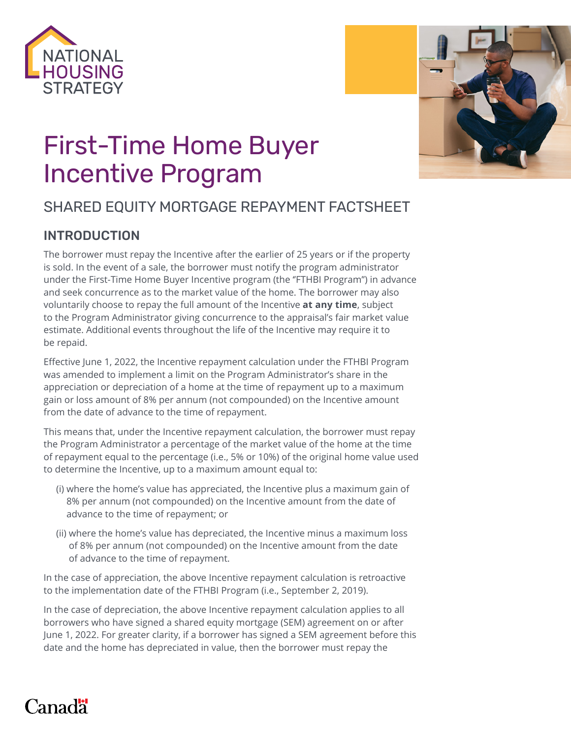



# First-Time Home Buyer Incentive Program

## SHARED EQUITY MORTGAGE REPAYMENT FACTSHEET

## INTRODUCTION

The borrower must repay the Incentive after the earlier of 25 years or if the property is sold. In the event of a sale, the borrower must notify the program administrator under the First-Time Home Buyer Incentive program (the ''FTHBI Program'') in advance and seek concurrence as to the market value of the home. The borrower may also voluntarily choose to repay the full amount of the Incentive **at any time**, subject to the Program Administrator giving concurrence to the appraisal's fair market value estimate. Additional events throughout the life of the Incentive may require it to be repaid.

Effective June 1, 2022, the Incentive repayment calculation under the FTHBI Program was amended to implement a limit on the Program Administrator's share in the appreciation or depreciation of a home at the time of repayment up to a maximum gain or loss amount of 8% per annum (not compounded) on the Incentive amount from the date of advance to the time of repayment.

This means that, under the Incentive repayment calculation, the borrower must repay the Program Administrator a percentage of the market value of the home at the time of repayment equal to the percentage (i.e., 5% or 10%) of the original home value used to determine the Incentive, up to a maximum amount equal to:

- (i) where the home's value has appreciated, the Incentive plus a maximum gain of 8% per annum (not compounded) on the Incentive amount from the date of advance to the time of repayment; or
- (ii) where the home's value has depreciated, the Incentive minus a maximum loss of 8% per annum (not compounded) on the Incentive amount from the date of advance to the time of repayment.

In the case of appreciation, the above Incentive repayment calculation is retroactive to the implementation date of the FTHBI Program (i.e., September 2, 2019).

In the case of depreciation, the above Incentive repayment calculation applies to all borrowers who have signed a shared equity mortgage (SEM) agreement on or after June 1, 2022. For greater clarity, if a borrower has signed a SEM agreement before this date and the home has depreciated in value, then the borrower must repay the

## **Canadä**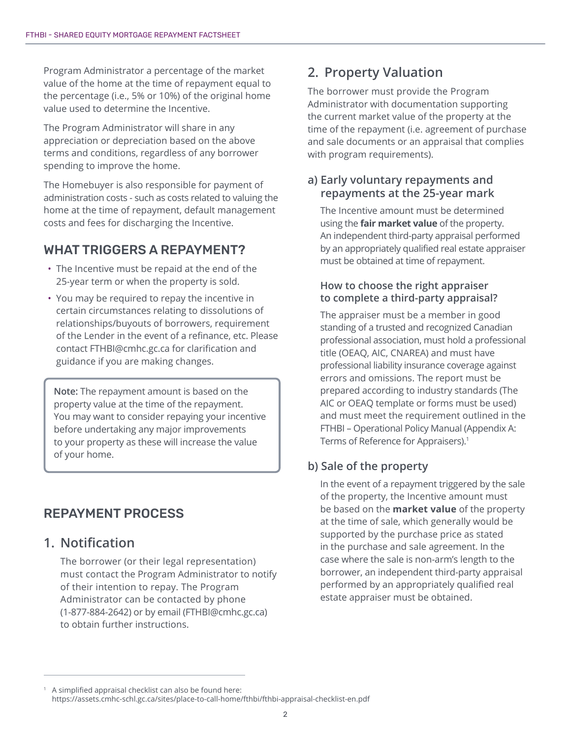Program Administrator a percentage of the market value of the home at the time of repayment equal to the percentage (i.e., 5% or 10%) of the original home value used to determine the Incentive.

The Program Administrator will share in any appreciation or depreciation based on the above terms and conditions, regardless of any borrower spending to improve the home.

The Homebuyer is also responsible for payment of administration costs - such as costs related to valuing the home at the time of repayment, default management costs and fees for discharging the Incentive.

#### WHAT TRIGGERS A REPAYMENT?

- The Incentive must be repaid at the end of the 25-year term or when the property is sold.
- You may be required to repay the incentive in certain circumstances relating to dissolutions of relationships/buyouts of borrowers, requirement of the Lender in the event of a refinance, etc. Please contact [FTHBI@cmhc.gc.ca](mailto:FTHBI%40cmhc.gc.ca?subject=) for clarification and guidance if you are making changes.

**Note:** The repayment amount is based on the property value at the time of the repayment. You may want to consider repaying your incentive before undertaking any major improvements to your property as these will increase the value of your home.

#### REPAYMENT PROCESS

#### **1. Notification**

The borrower (or their legal representation) must contact the Program Administrator to notify of their intention to repay. The Program Administrator can be contacted by phone (1-877-884-2642) or by email [\(FTHBI@cmhc.gc.ca\)](mailto:FTHBI%40cmhc.gc.ca?subject=) to obtain further instructions.

## **2. Property Valuation**

The borrower must provide the Program Administrator with documentation supporting the current market value of the property at the time of the repayment (i.e. agreement of purchase and sale documents or an appraisal that complies with program requirements).

#### **a) Early voluntary repayments and repayments at the 25-year mark**

The Incentive amount must be determined using the **fair market value** of the property. An independent third-party appraisal performed by an appropriately qualified real estate appraiser must be obtained at time of repayment.

#### **How to choose the right appraiser to complete a third-party appraisal?**

The appraiser must be a member in good standing of a trusted and recognized Canadian professional association, must hold a professional title (OEAQ, AIC, CNAREA) and must have professional liability insurance coverage against errors and omissions. The report must be prepared according to industry standards (The AIC or OEAQ template or forms must be used) and must meet the requirement outlined in the FTHBI – Operational Policy Manual (Appendix A: Terms of Reference for Appraisers).<sup>1</sup>

#### **b) Sale of the property**

In the event of a repayment triggered by the sale of the property, the Incentive amount must be based on the **market value** of the property at the time of sale, which generally would be supported by the purchase price as stated in the purchase and sale agreement. In the case where the sale is non-arm's length to the borrower, an independent third-party appraisal performed by an appropriately qualified real estate appraiser must be obtained.

<sup>1</sup> A simplified appraisal checklist can also be found here: <https://assets.cmhc-schl.gc.ca/sites/place-to-call-home/fthbi/fthbi-appraisal-checklist-en.pdf>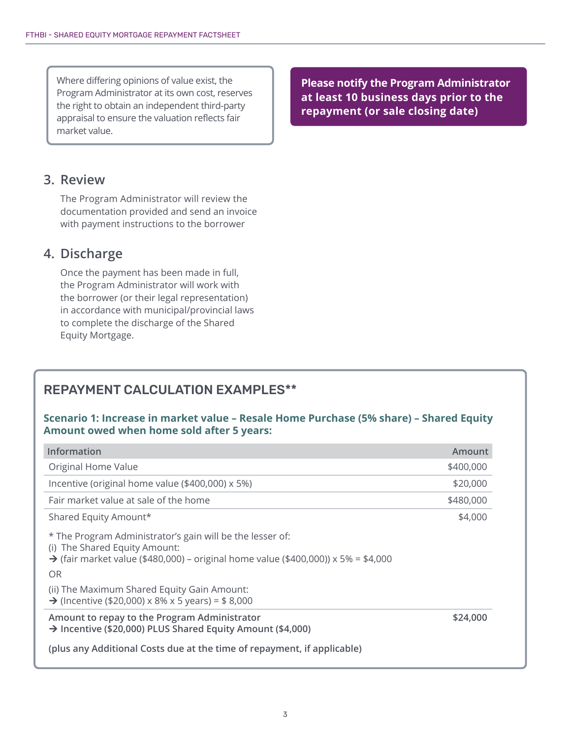Where differing opinions of value exist, the Program Administrator at its own cost, reserves the right to obtain an independent third-party appraisal to ensure the valuation reflects fair market value.

#### **3. Review**

The Program Administrator will review the documentation provided and send an invoice with payment instructions to the borrower

#### **4. Discharge**

Once the payment has been made in full, the Program Administrator will work with the borrower (or their legal representation) in accordance with municipal/provincial laws to complete the discharge of the Shared Equity Mortgage.

#### REPAYMENT CALCULATION EXAMPLES\*\*

#### **Scenario 1: Increase in market value – Resale Home Purchase (5% share) – Shared Equity Amount owed when home sold after 5 years:**

| <b>Information</b>                                                                                                                                                                                        | Amount    |
|-----------------------------------------------------------------------------------------------------------------------------------------------------------------------------------------------------------|-----------|
| Original Home Value                                                                                                                                                                                       | \$400,000 |
| Incentive (original home value (\$400,000) x 5%)                                                                                                                                                          | \$20,000  |
| Fair market value at sale of the home                                                                                                                                                                     | \$480,000 |
| Shared Equity Amount*                                                                                                                                                                                     | \$4,000   |
| * The Program Administrator's gain will be the lesser of:<br>(i) The Shared Equity Amount:<br>$\rightarrow$ (fair market value (\$480,000) – original home value (\$400,000)) x 5% = \$4,000<br><b>OR</b> |           |
| (ii) The Maximum Shared Equity Gain Amount:<br>$\rightarrow$ (Incentive (\$20,000) x 8% x 5 years) = \$8,000                                                                                              |           |
| Amount to repay to the Program Administrator<br>→ Incentive (\$20,000) PLUS Shared Equity Amount (\$4,000)                                                                                                | \$24,000  |
| (plus any Additional Costs due at the time of repayment, if applicable)                                                                                                                                   |           |

**Please notify the Program Administrator at least 10 business days prior to the repayment (or sale closing date)**